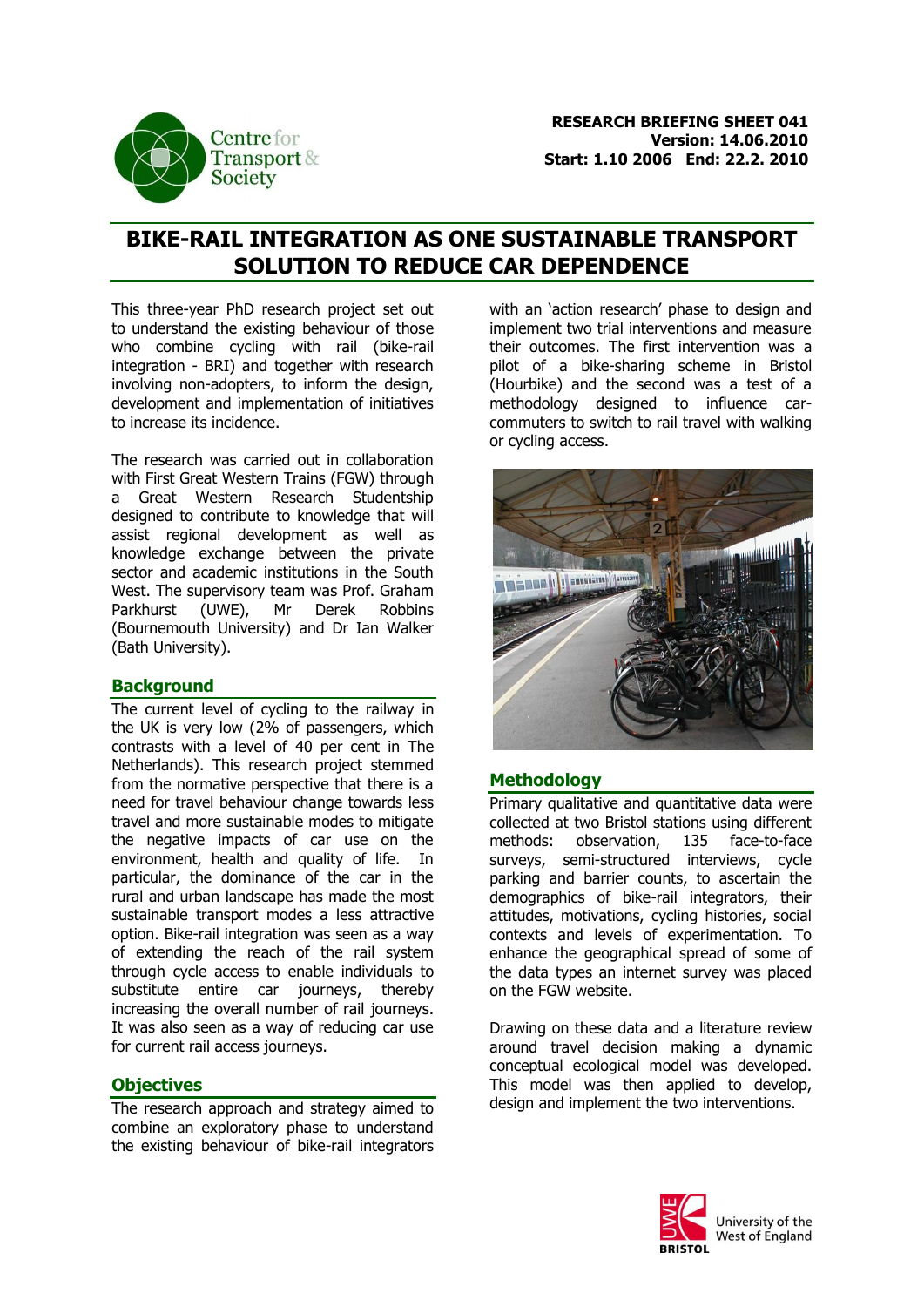

# **BIKE-RAIL INTEGRATION AS ONE SUSTAINABLE TRANSPORT SOLUTION TO REDUCE CAR DEPENDENCE**

This three-year PhD research project set out to understand the existing behaviour of those who combine cycling with rail (bike-rail integration - BRI) and together with research involving non-adopters, to inform the design, development and implementation of initiatives to increase its incidence.

The research was carried out in collaboration with First Great Western Trains (FGW) through a Great Western Research Studentship designed to contribute to knowledge that will assist regional development as well as knowledge exchange between the private sector and academic institutions in the South West. The supervisory team was Prof. Graham Parkhurst (UWE), Mr Derek Robbins (Bournemouth University) and Dr Ian Walker (Bath University).

### **Background**

The current level of cycling to the railway in the UK is very low (2% of passengers, which contrasts with a level of 40 per cent in The Netherlands). This research project stemmed from the normative perspective that there is a need for travel behaviour change towards less travel and more sustainable modes to mitigate the negative impacts of car use on the environment, health and quality of life. In particular, the dominance of the car in the rural and urban landscape has made the most sustainable transport modes a less attractive option. Bike-rail integration was seen as a way of extending the reach of the rail system through cycle access to enable individuals to substitute entire car journeys, thereby increasing the overall number of rail journeys. It was also seen as a way of reducing car use for current rail access journeys.

### **Objectives**

The research approach and strategy aimed to combine an exploratory phase to understand the existing behaviour of bike-rail integrators

with an 'action research' phase to design and implement two trial interventions and measure their outcomes. The first intervention was a pilot of a bike-sharing scheme in Bristol (Hourbike) and the second was a test of a methodology designed to influence carcommuters to switch to rail travel with walking or cycling access.



#### **Methodology**

Primary qualitative and quantitative data were collected at two Bristol stations using different methods: observation, 135 face-to-face surveys, semi-structured interviews, cycle parking and barrier counts, to ascertain the demographics of bike-rail integrators, their attitudes, motivations, cycling histories, social contexts and levels of experimentation. To enhance the geographical spread of some of the data types an internet survey was placed on the FGW website.

Drawing on these data and a literature review around travel decision making a dynamic conceptual ecological model was developed. This model was then applied to develop, design and implement the two interventions.

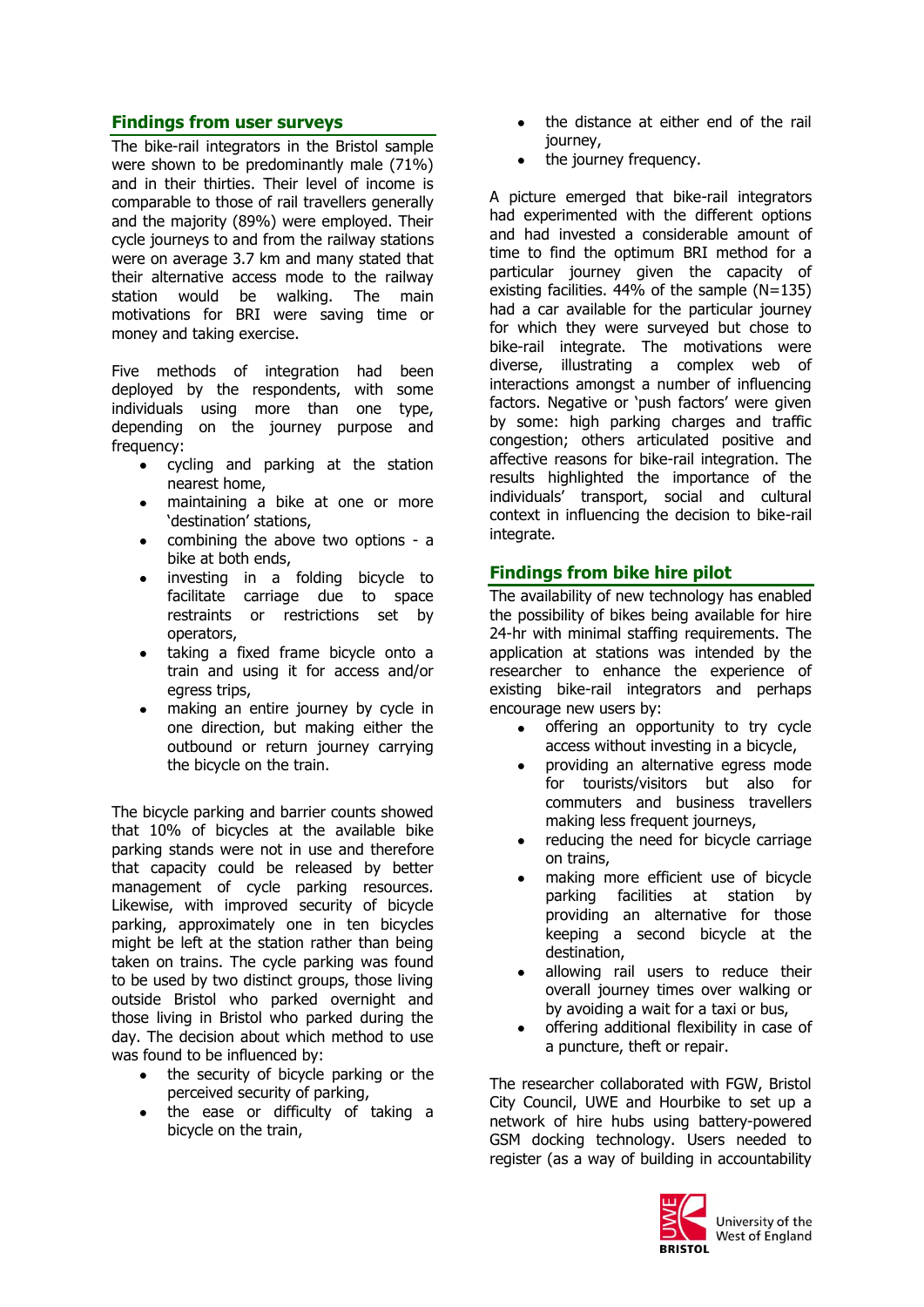### **Findings from user surveys**

The bike-rail integrators in the Bristol sample were shown to be predominantly male (71%) and in their thirties. Their level of income is comparable to those of rail travellers generally and the majority (89%) were employed. Their cycle journeys to and from the railway stations were on average 3.7 km and many stated that their alternative access mode to the railway station would be walking. The main motivations for BRI were saving time or money and taking exercise.

Five methods of integration had been deployed by the respondents, with some individuals using more than one type, depending on the journey purpose and frequency:

- cycling and parking at the station nearest home,
- maintaining a bike at one or more 'destination' stations,
- combining the above two options a bike at both ends,
- investing in a folding bicycle to  $\bullet$ facilitate carriage due to space restraints or restrictions set by operators,
- $\bullet$ taking a fixed frame bicycle onto a train and using it for access and/or egress trips,
- making an entire journey by cycle in one direction, but making either the outbound or return journey carrying the bicycle on the train.

The bicycle parking and barrier counts showed that 10% of bicycles at the available bike parking stands were not in use and therefore that capacity could be released by better management of cycle parking resources. Likewise, with improved security of bicycle parking, approximately one in ten bicycles might be left at the station rather than being taken on trains. The cycle parking was found to be used by two distinct groups, those living outside Bristol who parked overnight and those living in Bristol who parked during the day. The decision about which method to use was found to be influenced by:

- the security of bicycle parking or the perceived security of parking,
- the ease or difficulty of taking a  $\bullet$ bicycle on the train,
- the distance at either end of the rail journey,
- the journey frequency.

A picture emerged that bike-rail integrators had experimented with the different options and had invested a considerable amount of time to find the optimum BRI method for a particular journey given the capacity of existing facilities.  $44\%$  of the sample (N=135) had a car available for the particular journey for which they were surveyed but chose to bike-rail integrate. The motivations were diverse, illustrating a complex web of interactions amongst a number of influencing factors. Negative or 'push factors' were given by some: high parking charges and traffic congestion; others articulated positive and affective reasons for bike-rail integration. The results highlighted the importance of the individuals' transport, social and cultural context in influencing the decision to bike-rail integrate.

# **Findings from bike hire pilot**

The availability of new technology has enabled the possibility of bikes being available for hire 24-hr with minimal staffing requirements. The application at stations was intended by the researcher to enhance the experience of existing bike-rail integrators and perhaps encourage new users by:

- offering an opportunity to try cycle access without investing in a bicycle,
- providing an alternative egress mode for tourists/visitors but also for commuters and business travellers making less frequent journeys,
- reducing the need for bicycle carriage on trains,
- making more efficient use of bicycle parking facilities at station by providing an alternative for those keeping a second bicycle at the destination,
- allowing rail users to reduce their overall journey times over walking or by avoiding a wait for a taxi or bus,
- offering additional flexibility in case of a puncture, theft or repair.

The researcher collaborated with FGW, Bristol City Council, UWE and Hourbike to set up a network of hire hubs using battery-powered GSM docking technology. Users needed to register (as a way of building in accountability